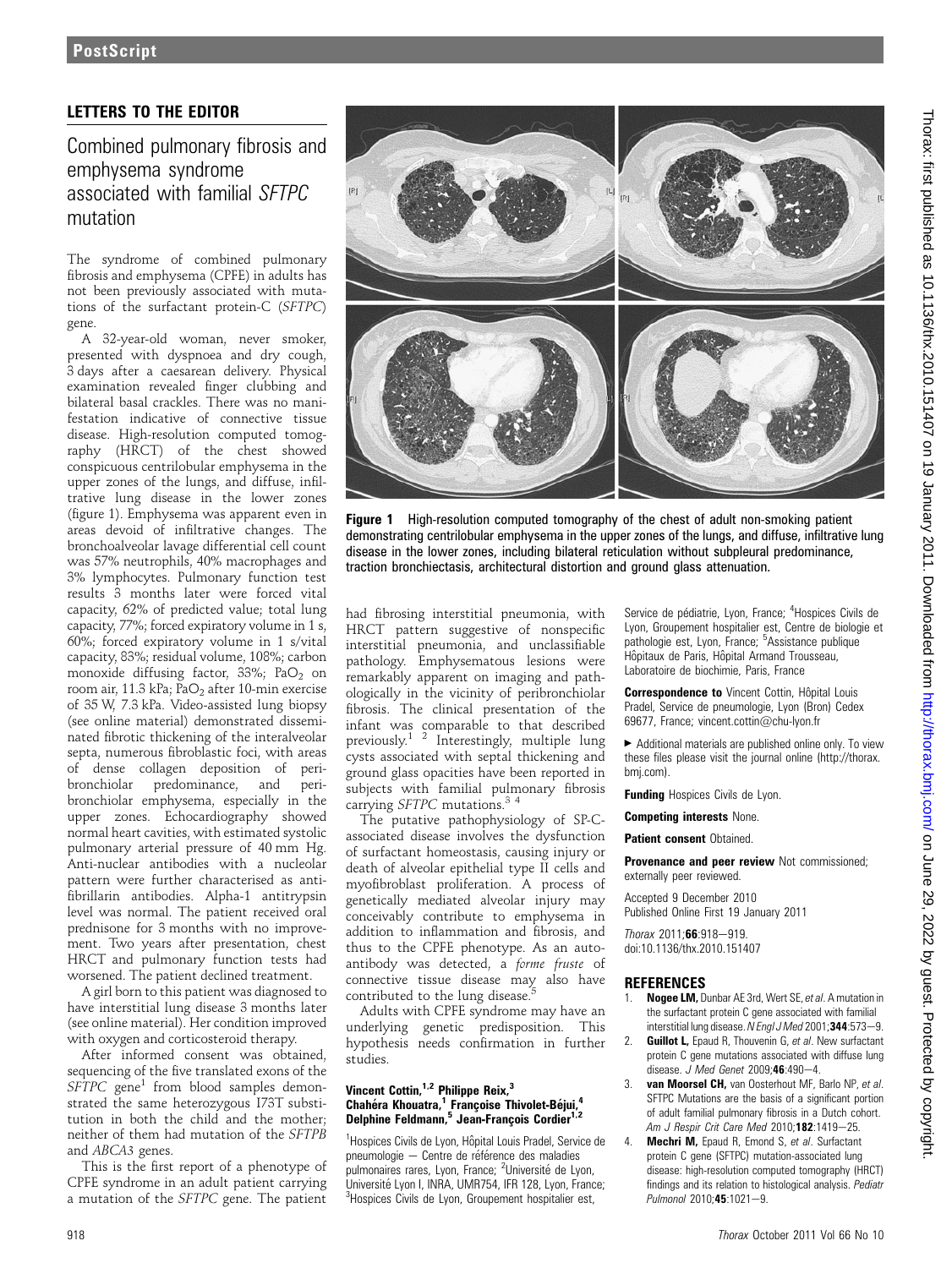## **PostScript**

### LETTERS TO THE EDITOR

Combined pulmonary fibrosis and emphysema syndrome associated with familial SFTPC mutation

The syndrome of combined pulmonary fibrosis and emphysema (CPFE) in adults has not been previously associated with mutations of the surfactant protein-C (SFTPC) gene.

A 32-year-old woman, never smoker, presented with dyspnoea and dry cough, 3 days after a caesarean delivery. Physical examination revealed finger clubbing and bilateral basal crackles. There was no manifestation indicative of connective tissue disease. High-resolution computed tomography (HRCT) of the chest showed conspicuous centrilobular emphysema in the upper zones of the lungs, and diffuse, infiltrative lung disease in the lower zones (figure 1). Emphysema was apparent even in areas devoid of infiltrative changes. The bronchoalveolar lavage differential cell count was 57% neutrophils, 40% macrophages and 3% lymphocytes. Pulmonary function test results 3 months later were forced vital capacity, 62% of predicted value; total lung capacity, 77%; forced expiratory volume in 1 s, 60%; forced expiratory volume in 1 s/vital capacity, 83%; residual volume, 108%; carbon monoxide diffusing factor, 33%; PaO<sub>2</sub> on room air, 11.3 kPa; PaO<sub>2</sub> after 10-min exercise of 35 W, 7.3 kPa. Video-assisted lung biopsy (see online material) demonstrated disseminated fibrotic thickening of the interalveolar septa, numerous fibroblastic foci, with areas of dense collagen deposition of peribronchiolar predominance, and peribronchiolar emphysema, especially in the upper zones. Echocardiography showed normal heart cavities, with estimated systolic pulmonary arterial pressure of 40 mm Hg. Anti-nuclear antibodies with a nucleolar pattern were further characterised as antifibrillarin antibodies. Alpha-1 antitrypsin level was normal. The patient received oral prednisone for 3 months with no improvement. Two years after presentation, chest HRCT and pulmonary function tests had worsened. The patient declined treatment.

A girl born to this patient was diagnosed to have interstitial lung disease 3 months later (see online material). Her condition improved with oxygen and corticosteroid therapy.

After informed consent was obtained, sequencing of the five translated exons of the  $SFTPC$  gene<sup>1</sup> from blood samples demonstrated the same heterozygous I73T substitution in both the child and the mother; neither of them had mutation of the SFTPB and ABCA3 genes.

This is the first report of a phenotype of CPFE syndrome in an adult patient carrying a mutation of the SFTPC gene. The patient



Figure 1 High-resolution computed tomography of the chest of adult non-smoking patient demonstrating centrilobular emphysema in the upper zones of the lungs, and diffuse, infiltrative lung disease in the lower zones, including bilateral reticulation without subpleural predominance, traction bronchiectasis, architectural distortion and ground glass attenuation.

had fibrosing interstitial pneumonia, with HRCT pattern suggestive of nonspecific interstitial pneumonia, and unclassifiable pathology. Emphysematous lesions were remarkably apparent on imaging and pathologically in the vicinity of peribronchiolar fibrosis. The clinical presentation of the infant was comparable to that described previously.1 2 Interestingly, multiple lung cysts associated with septal thickening and ground glass opacities have been reported in subjects with familial pulmonary fibrosis carrying SFTPC mutations.<sup>34</sup>

The putative pathophysiology of SP-Cassociated disease involves the dysfunction of surfactant homeostasis, causing injury or death of alveolar epithelial type II cells and myofibroblast proliferation. A process of genetically mediated alveolar injury may conceivably contribute to emphysema in addition to inflammation and fibrosis, and thus to the CPFE phenotype. As an autoantibody was detected, a forme fruste of connective tissue disease may also have contributed to the lung disease.

Adults with CPFE syndrome may have an underlying genetic predisposition. This hypothesis needs confirmation in further studies.

#### Vincent Cottin, $1,2$  Philippe Reix, $3$ Chahéra Khouatra,<sup>1</sup> Francoise Thivolet-Béjui,<sup>4</sup> Delphine Feldmann,<sup>5</sup> Jean-François Cordier<sup>1,2</sup>

<sup>1</sup>Hospices Civils de Lyon, Hôpital Louis Pradel, Service de pneumologie - Centre de référence des maladies pulmonaires rares, Lyon, France; <sup>2</sup>Université de Lyon, Université Lyon I, INRA, UMR754, IFR 128, Lyon, France: <sup>3</sup>Hospices Civils de Lyon, Groupement hospitalier est,

Service de pédiatrie, Lyon, France; <sup>4</sup>Hospices Civils de Lyon, Groupement hospitalier est, Centre de biologie et pathologie est, Lyon, France; <sup>5</sup>Assistance publique Hôpitaux de Paris, Hôpital Armand Trousseau, Laboratoire de biochimie, Paris, France

Correspondence to Vincent Cottin, Hôpital Louis Pradel, Service de pneumologie, Lyon (Bron) Cedex 69677, France; vincent.cottin@chu-lyon.fr

 $\blacktriangleright$  Additional materials are published online only. To view these files please visit the journal online (http://thorax. bmj.com).

Funding Hospices Civils de Lyon.

Competing interests None.

Patient consent Obtained.

Provenance and peer review Not commissioned; externally peer reviewed.

Accepted 9 December 2010 Published Online First 19 January 2011

 $Thorax 2011; 66:918-919.$ doi:10.1136/thx.2010.151407

# **REFERENCES**<br>1. Nogee LM. D

- Nogee LM, Dunbar AE 3rd, Wert SE, et al. A mutation in the surfactant protein C gene associated with familial interstitial lung disease. N Engl J Med 2001; 344:573-9.
- 2. **Guillot L**, Epaud R, Thouvenin G, et al. New surfactant protein C gene mutations associated with diffuse lung disease. J Med Genet 2009; $46:490-4$ .
- 3. van Moorsel CH, van Oosterhout MF, Barlo NP, et al. SFTPC Mutations are the basis of a significant portion of adult familial pulmonary fibrosis in a Dutch cohort. Am J Respir Crit Care Med 2010;182:1419-25.
- Mechri M, Epaud R, Emond S, et al. Surfactant protein C gene (SFTPC) mutation-associated lung disease: high-resolution computed tomography (HRCT) findings and its relation to histological analysis. Pediatr Pulmonol 2010:45:1021-9.